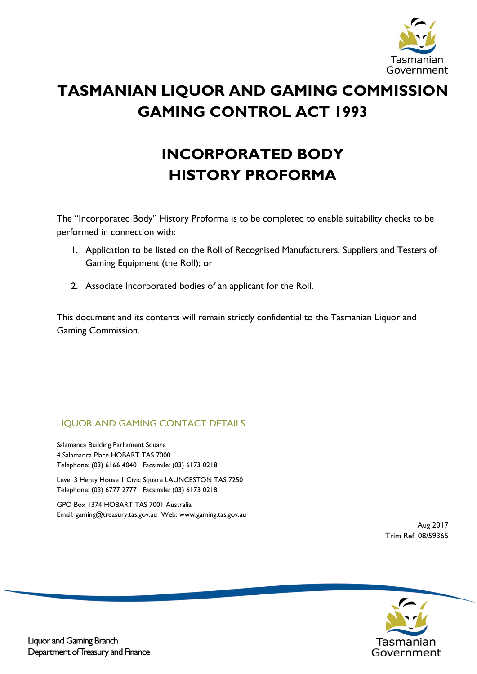

# **TASMANIAN LIQUOR AND GAMING COMMISSION GAMING CONTROL ACT 1993**

# **INCORPORATED BODY HISTORY PROFORMA**

The "Incorporated Body" History Proforma is to be completed to enable suitability checks to be performed in connection with:

- 1. Application to be listed on the Roll of Recognised Manufacturers, Suppliers and Testers of Gaming Equipment (the Roll); or
- 2. Associate Incorporated bodies of an applicant for the Roll.

This document and its contents will remain strictly confidential to the Tasmanian Liquor and Gaming Commission.

## LIQUOR AND GAMING CONTACT DETAILS

Salamanca Building Parliament Square 4 Salamanca Place HOBART TAS 7000 Telephone: (03) 6166 4040 Facsimile: (03) 6173 0218

Level 3 Henty House 1 Civic Square LAUNCESTON TAS 7250 Telephone: (03) 6777 2777 Facsimile: (03) 6173 0218

GPO Box 1374 HOBART TAS 7001 Australia Email[: gaming@treasury.tas.gov.au](mailto:gaming@treasury.tas.gov.au) Web: [www.gaming.tas.gov.au](http://www.gaming.tas.gov.au/)

> Aug 2017 Trim Ref: 08/59365

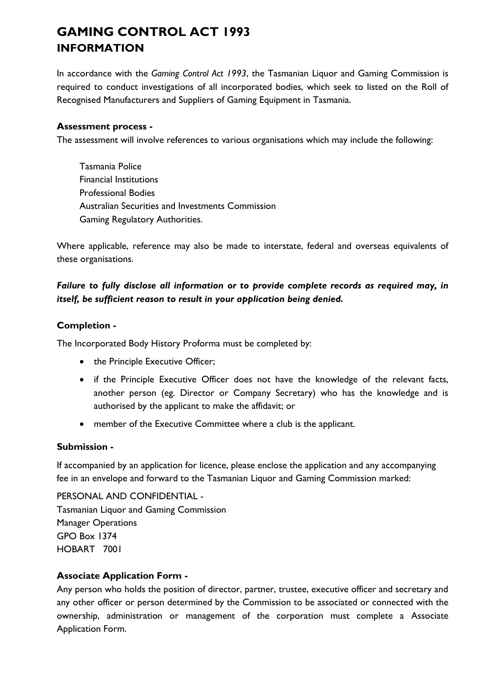## **GAMING CONTROL ACT 1993 INFORMATION**

In accordance with the *Gaming Control Act 1993*, the Tasmanian Liquor and Gaming Commission is required to conduct investigations of all incorporated bodies, which seek to listed on the Roll of Recognised Manufacturers and Suppliers of Gaming Equipment in Tasmania.

### **Assessment process -**

The assessment will involve references to various organisations which may include the following:

Tasmania Police Financial Institutions Professional Bodies Australian Securities and Investments Commission Gaming Regulatory Authorities.

Where applicable, reference may also be made to interstate, federal and overseas equivalents of these organisations.

## *Failure to fully disclose all information or to provide complete records as required may, in itself, be sufficient reason to result in your application being denied.*

#### **Completion -**

The Incorporated Body History Proforma must be completed by:

- the Principle Executive Officer;
- if the Principle Executive Officer does not have the knowledge of the relevant facts, another person (eg. Director or Company Secretary) who has the knowledge and is authorised by the applicant to make the affidavit; or
- member of the Executive Committee where a club is the applicant.

#### **Submission -**

If accompanied by an application for licence, please enclose the application and any accompanying fee in an envelope and forward to the Tasmanian Liquor and Gaming Commission marked:

PERSONAL AND CONFIDENTIAL - Tasmanian Liquor and Gaming Commission Manager Operations GPO Box 1374 HOBART 7001

#### **Associate Application Form -**

Any person who holds the position of director, partner, trustee, executive officer and secretary and any other officer or person determined by the Commission to be associated or connected with the ownership, administration or management of the corporation must complete a Associate Application Form.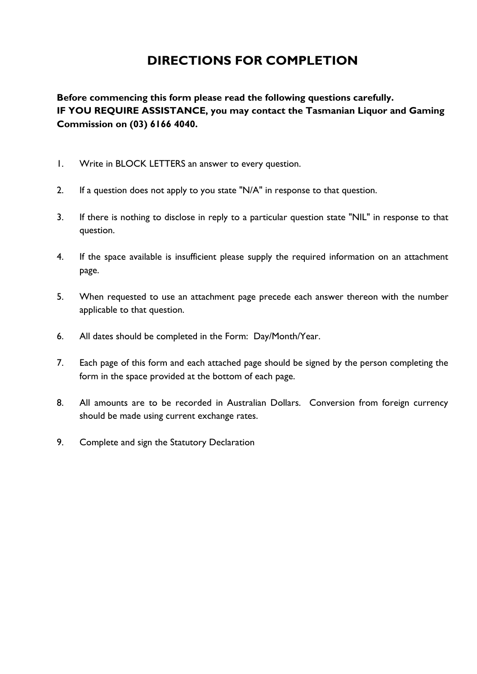## **DIRECTIONS FOR COMPLETION**

**Before commencing this form please read the following questions carefully. IF YOU REQUIRE ASSISTANCE, you may contact the Tasmanian Liquor and Gaming Commission on (03) 6166 4040.**

- 1. Write in BLOCK LETTERS an answer to every question.
- 2. If a question does not apply to you state "N/A" in response to that question.
- 3. If there is nothing to disclose in reply to a particular question state "NIL" in response to that question.
- 4. If the space available is insufficient please supply the required information on an attachment page.
- 5. When requested to use an attachment page precede each answer thereon with the number applicable to that question.
- 6. All dates should be completed in the Form: Day/Month/Year.
- 7. Each page of this form and each attached page should be signed by the person completing the form in the space provided at the bottom of each page.
- 8. All amounts are to be recorded in Australian Dollars. Conversion from foreign currency should be made using current exchange rates.
- 9. Complete and sign the Statutory Declaration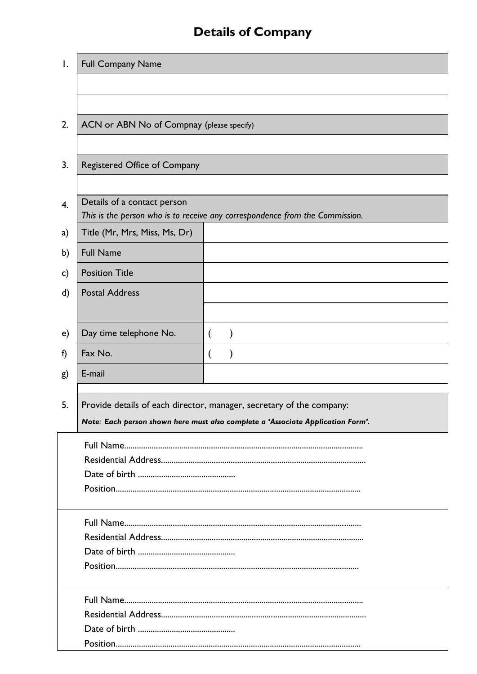# **Details of Company**

| Ι. | <b>Full Company Name</b>                  |  |                                                                                 |  |  |  |  |  |
|----|-------------------------------------------|--|---------------------------------------------------------------------------------|--|--|--|--|--|
|    |                                           |  |                                                                                 |  |  |  |  |  |
|    |                                           |  |                                                                                 |  |  |  |  |  |
| 2. | ACN or ABN No of Compnay (please specify) |  |                                                                                 |  |  |  |  |  |
|    |                                           |  |                                                                                 |  |  |  |  |  |
| 3. | Registered Office of Company              |  |                                                                                 |  |  |  |  |  |
|    |                                           |  |                                                                                 |  |  |  |  |  |
| 4. | Details of a contact person               |  | This is the person who is to receive any correspondence from the Commission.    |  |  |  |  |  |
| a) | Title (Mr, Mrs, Miss, Ms, Dr)             |  |                                                                                 |  |  |  |  |  |
| b) | <b>Full Name</b>                          |  |                                                                                 |  |  |  |  |  |
| c) | <b>Position Title</b>                     |  |                                                                                 |  |  |  |  |  |
| d) | <b>Postal Address</b>                     |  |                                                                                 |  |  |  |  |  |
|    |                                           |  |                                                                                 |  |  |  |  |  |
| e) | Day time telephone No.                    |  |                                                                                 |  |  |  |  |  |
| f) | Fax No.                                   |  |                                                                                 |  |  |  |  |  |
| g) | E-mail                                    |  |                                                                                 |  |  |  |  |  |
|    |                                           |  |                                                                                 |  |  |  |  |  |
| 5. |                                           |  | Provide details of each director, manager, secretary of the company:            |  |  |  |  |  |
|    |                                           |  | Note: Each person shown here must also complete a 'Associate Application Form'. |  |  |  |  |  |
|    |                                           |  |                                                                                 |  |  |  |  |  |
|    |                                           |  |                                                                                 |  |  |  |  |  |
|    |                                           |  |                                                                                 |  |  |  |  |  |
|    |                                           |  |                                                                                 |  |  |  |  |  |
|    |                                           |  |                                                                                 |  |  |  |  |  |
|    |                                           |  |                                                                                 |  |  |  |  |  |
|    |                                           |  |                                                                                 |  |  |  |  |  |
|    |                                           |  |                                                                                 |  |  |  |  |  |
|    |                                           |  |                                                                                 |  |  |  |  |  |
|    |                                           |  |                                                                                 |  |  |  |  |  |
|    |                                           |  |                                                                                 |  |  |  |  |  |
|    |                                           |  |                                                                                 |  |  |  |  |  |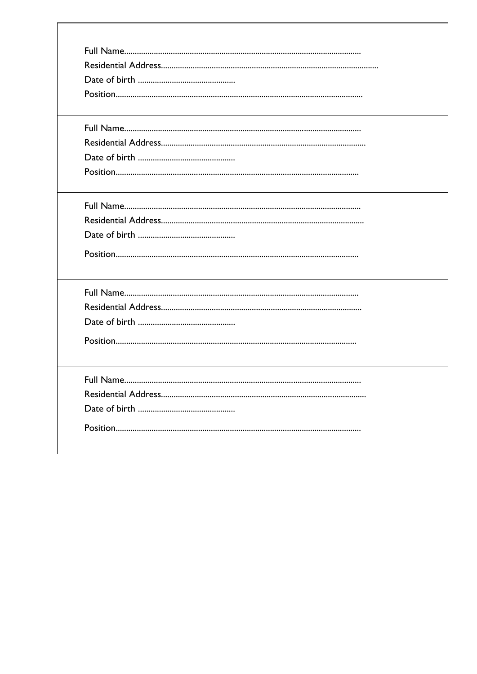г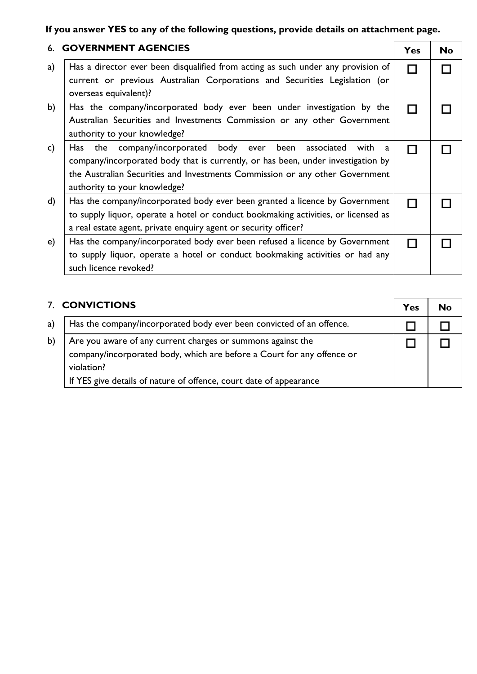## **If you answer YES to any of the following questions, provide details on attachment page.**

|               | <b>6. GOVERNMENT AGENCIES</b>                                                                                                                                                                                                                                           | <b>Yes</b> | <b>No</b> |
|---------------|-------------------------------------------------------------------------------------------------------------------------------------------------------------------------------------------------------------------------------------------------------------------------|------------|-----------|
| a)            | Has a director ever been disqualified from acting as such under any provision of<br>current or previous Australian Corporations and Securities Legislation (or<br>overseas equivalent)?                                                                                 |            |           |
| b)            | Has the company/incorporated body ever been under investigation by the<br>Australian Securities and Investments Commission or any other Government<br>authority to your knowledge?                                                                                      |            |           |
| $\mathsf{c})$ | Has the company/incorporated body ever been associated<br>with<br>a<br>company/incorporated body that is currently, or has been, under investigation by<br>the Australian Securities and Investments Commission or any other Government<br>authority to your knowledge? |            |           |
| d)            | Has the company/incorporated body ever been granted a licence by Government<br>to supply liquor, operate a hotel or conduct bookmaking activities, or licensed as<br>a real estate agent, private enquiry agent or security officer?                                    |            |           |
| e)            | Has the company/incorporated body ever been refused a licence by Government<br>to supply liquor, operate a hotel or conduct bookmaking activities or had any<br>such licence revoked?                                                                                   |            |           |

|    | 7. CONVICTIONS                                                                                                                                                                                                            |  |  |  |
|----|---------------------------------------------------------------------------------------------------------------------------------------------------------------------------------------------------------------------------|--|--|--|
| a) | Has the company/incorporated body ever been convicted of an offence.                                                                                                                                                      |  |  |  |
| b) | Are you aware of any current charges or summons against the<br>company/incorporated body, which are before a Court for any offence or<br>violation?<br>If YES give details of nature of offence, court date of appearance |  |  |  |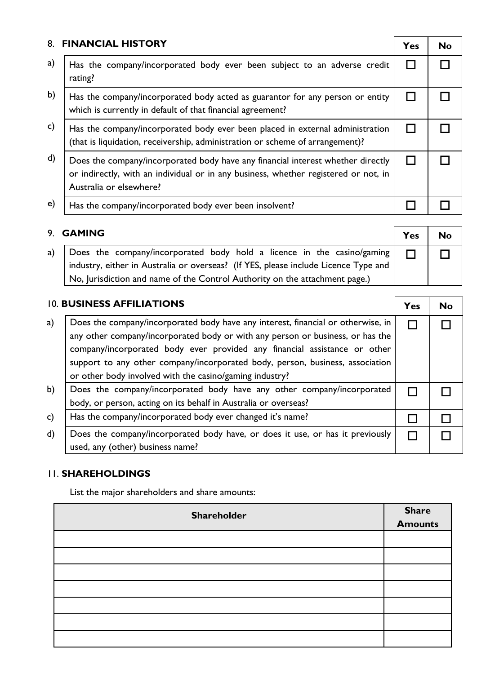| 8.           | <b>FINANCIAL HISTORY</b>                                                                                                                                                                          | Yes | <b>No</b> |
|--------------|---------------------------------------------------------------------------------------------------------------------------------------------------------------------------------------------------|-----|-----------|
| a)           | Has the company/incorporated body ever been subject to an adverse credit<br>rating?                                                                                                               |     |           |
| b)           | Has the company/incorporated body acted as guarantor for any person or entity<br>which is currently in default of that financial agreement?                                                       |     |           |
| $\mathsf{c}$ | Has the company/incorporated body ever been placed in external administration<br>(that is liquidation, receivership, administration or scheme of arrangement)?                                    |     |           |
| $\mathsf{d}$ | Does the company/incorporated body have any financial interest whether directly<br>or indirectly, with an individual or in any business, whether registered or not, in<br>Australia or elsewhere? |     |           |
| e)           | Has the company/incorporated body ever been insolvent?                                                                                                                                            |     |           |

|    | 9. GAMING                                                                                                                                                     | Yes    | <b>No</b> |
|----|---------------------------------------------------------------------------------------------------------------------------------------------------------------|--------|-----------|
| a) | Does the company/incorporated body hold a licence in the casino/gaming<br>industry, either in Australia or overseas? (If YES, please include Licence Type and | $\Box$ |           |
|    | No, Jurisdiction and name of the Control Authority on the attachment page.)                                                                                   |        |           |

| 10. BUSINESS AFFILIATIONS |                                                                                                                                                                                                                                                                                                                                                                                             |  | No |
|---------------------------|---------------------------------------------------------------------------------------------------------------------------------------------------------------------------------------------------------------------------------------------------------------------------------------------------------------------------------------------------------------------------------------------|--|----|
| a)                        | Does the company/incorporated body have any interest, financial or otherwise, in<br>any other company/incorporated body or with any person or business, or has the<br>company/incorporated body ever provided any financial assistance or other<br>support to any other company/incorporated body, person, business, association<br>or other body involved with the casino/gaming industry? |  |    |
| b)                        | Does the company/incorporated body have any other company/incorporated<br>body, or person, acting on its behalf in Australia or overseas?                                                                                                                                                                                                                                                   |  |    |
| $\mathsf{c}$              | Has the company/incorporated body ever changed it's name?                                                                                                                                                                                                                                                                                                                                   |  |    |
| $\mathsf{d}$              | Does the company/incorporated body have, or does it use, or has it previously<br>used, any (other) business name?                                                                                                                                                                                                                                                                           |  |    |

## 11. **SHAREHOLDINGS**

List the major shareholders and share amounts:

| Shareholder | <b>Share</b><br><b>Amounts</b> |
|-------------|--------------------------------|
|             |                                |
|             |                                |
|             |                                |
|             |                                |
|             |                                |
|             |                                |
|             |                                |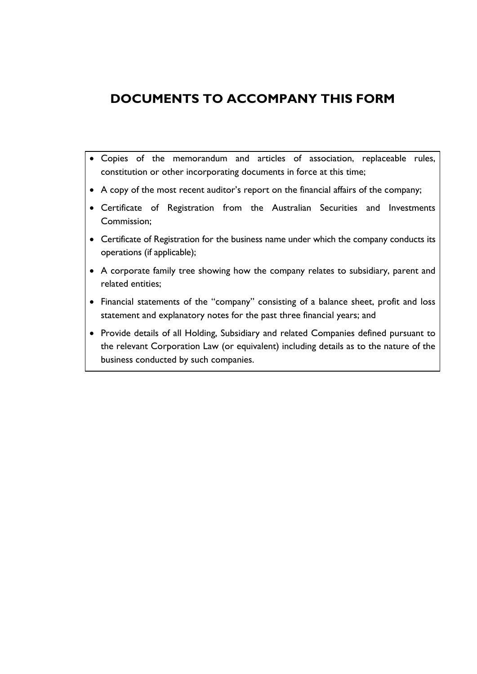## **DOCUMENTS TO ACCOMPANY THIS FORM**

- Copies of the memorandum and articles of association, replaceable rules, constitution or other incorporating documents in force at this time;
- A copy of the most recent auditor's report on the financial affairs of the company;
- Certificate of Registration from the Australian Securities and Investments Commission;
- Certificate of Registration for the business name under which the company conducts its operations (if applicable);
- A corporate family tree showing how the company relates to subsidiary, parent and related entities;
- Financial statements of the "company" consisting of a balance sheet, profit and loss statement and explanatory notes for the past three financial years; and
- Provide details of all Holding, Subsidiary and related Companies defined pursuant to the relevant Corporation Law (or equivalent) including details as to the nature of the business conducted by such companies.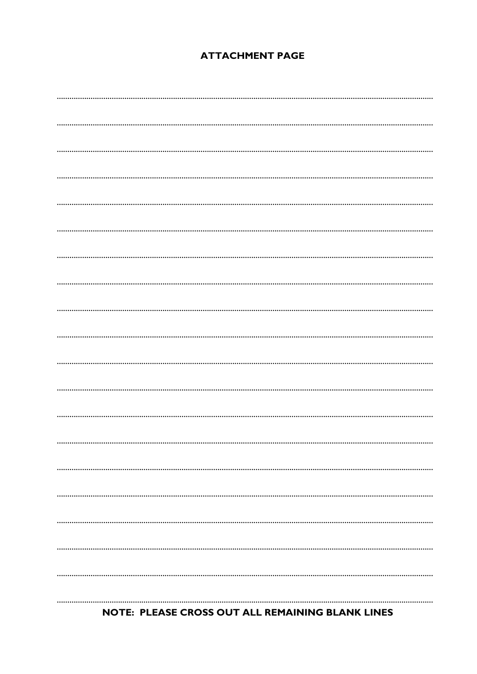## **ATTACHMENT PAGE**

## NOTE: PLEASE CROSS OUT ALL REMAINING BLANK LINES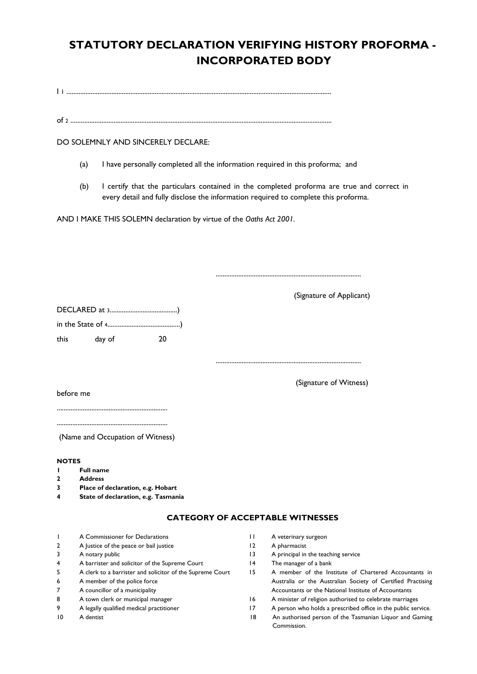## **STATUTORY DECLARATION VERIFYING HISTORY PROFORMA - INCORPORATED BODY**

I 1 .........................................................................................................................................................

of <sup>2</sup> .......................................................................................................................................................

#### DO SOLEMNLY AND SINCERELY DECLARE:

- (a) I have personally completed all the information required in this proforma; and
- (b) I certify that the particulars contained in the completed proforma are true and correct in every detail and fully disclose the information required to complete this proforma.

AND I MAKE THIS SOLEMN declaration by virtue of the *Oaths Act 2001.*

| this              | day of                              | 20 |  |  |
|-------------------|-------------------------------------|----|--|--|
|                   |                                     |    |  |  |
|                   |                                     |    |  |  |
|                   |                                     |    |  |  |
|                   |                                     |    |  |  |
|                   | before me                           |    |  |  |
|                   |                                     |    |  |  |
|                   |                                     |    |  |  |
|                   |                                     |    |  |  |
|                   | (Name and Occupation of Witness)    |    |  |  |
|                   |                                     |    |  |  |
| <b>NOTES</b>      |                                     |    |  |  |
| ш<br>$\mathbf{2}$ | <b>Full name</b><br><b>Address</b>  |    |  |  |
| 3                 | Place of declaration, e.g. Hobart   |    |  |  |
| 4                 | State of declaration, e.g. Tasmania |    |  |  |

#### **CATEGORY OF ACCEPTABLE WITNESSES**

- 1 A Commissioner for Declarations
- 2 A Justice of the peace or bail justice
- 3 A notary public
- 4 A barrister and solicitor of the Supreme Court
- 5 A clerk to a barrister and solicitor of the Supreme Court
- 6 A member of the police force
- 7 A councillor of a municipality
- 8 A town clerk or municipal manager
- 9 A legally qualified medical practitioner
- 10 A dentist

13 A principal in the teaching service 14 The manager of a bank

11 A veterinary surgeon 12 A pharmacist

- 15 A member of the Institute of Chartered Accountants in Australia or the Australian Society of Certified Practising Accountants or the National Institute of Accountants
- 16 A minister of religion authorised to celebrate marriages
- 17 A person who holds a prescribed office in the public service.
- 18 An authorised person of the Tasmanian Liquor and Gaming Commission.